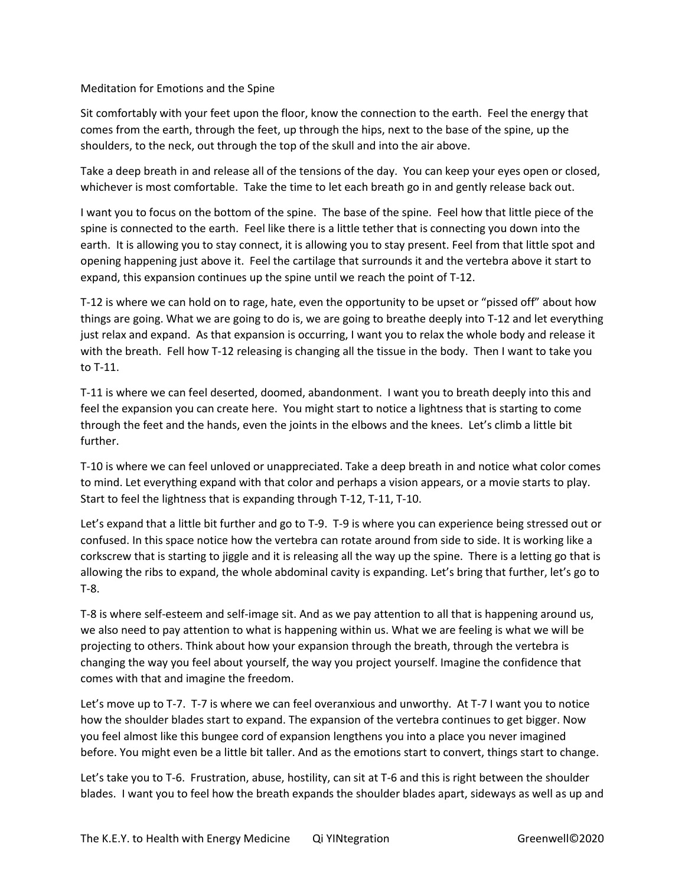## Meditation for Emotions and the Spine

Sit comfortably with your feet upon the floor, know the connection to the earth. Feel the energy that comes from the earth, through the feet, up through the hips, next to the base of the spine, up the shoulders, to the neck, out through the top of the skull and into the air above.

Take a deep breath in and release all of the tensions of the day. You can keep your eyes open or closed, whichever is most comfortable. Take the time to let each breath go in and gently release back out.

I want you to focus on the bottom of the spine. The base of the spine. Feel how that little piece of the spine is connected to the earth. Feel like there is a little tether that is connecting you down into the earth. It is allowing you to stay connect, it is allowing you to stay present. Feel from that little spot and opening happening just above it. Feel the cartilage that surrounds it and the vertebra above it start to expand, this expansion continues up the spine until we reach the point of T-12.

T-12 is where we can hold on to rage, hate, even the opportunity to be upset or "pissed off" about how things are going. What we are going to do is, we are going to breathe deeply into T-12 and let everything just relax and expand. As that expansion is occurring, I want you to relax the whole body and release it with the breath. Fell how T-12 releasing is changing all the tissue in the body. Then I want to take you to T-11.

T-11 is where we can feel deserted, doomed, abandonment. I want you to breath deeply into this and feel the expansion you can create here. You might start to notice a lightness that is starting to come through the feet and the hands, even the joints in the elbows and the knees. Let's climb a little bit further.

T-10 is where we can feel unloved or unappreciated. Take a deep breath in and notice what color comes to mind. Let everything expand with that color and perhaps a vision appears, or a movie starts to play. Start to feel the lightness that is expanding through T-12, T-11, T-10.

Let's expand that a little bit further and go to T-9. T-9 is where you can experience being stressed out or confused. In this space notice how the vertebra can rotate around from side to side. It is working like a corkscrew that is starting to jiggle and it is releasing all the way up the spine. There is a letting go that is allowing the ribs to expand, the whole abdominal cavity is expanding. Let's bring that further, let's go to T-8.

T-8 is where self-esteem and self-image sit. And as we pay attention to all that is happening around us, we also need to pay attention to what is happening within us. What we are feeling is what we will be projecting to others. Think about how your expansion through the breath, through the vertebra is changing the way you feel about yourself, the way you project yourself. Imagine the confidence that comes with that and imagine the freedom.

Let's move up to T-7. T-7 is where we can feel overanxious and unworthy. At T-7 I want you to notice how the shoulder blades start to expand. The expansion of the vertebra continues to get bigger. Now you feel almost like this bungee cord of expansion lengthens you into a place you never imagined before. You might even be a little bit taller. And as the emotions start to convert, things start to change.

Let's take you to T-6. Frustration, abuse, hostility, can sit at T-6 and this is right between the shoulder blades. I want you to feel how the breath expands the shoulder blades apart, sideways as well as up and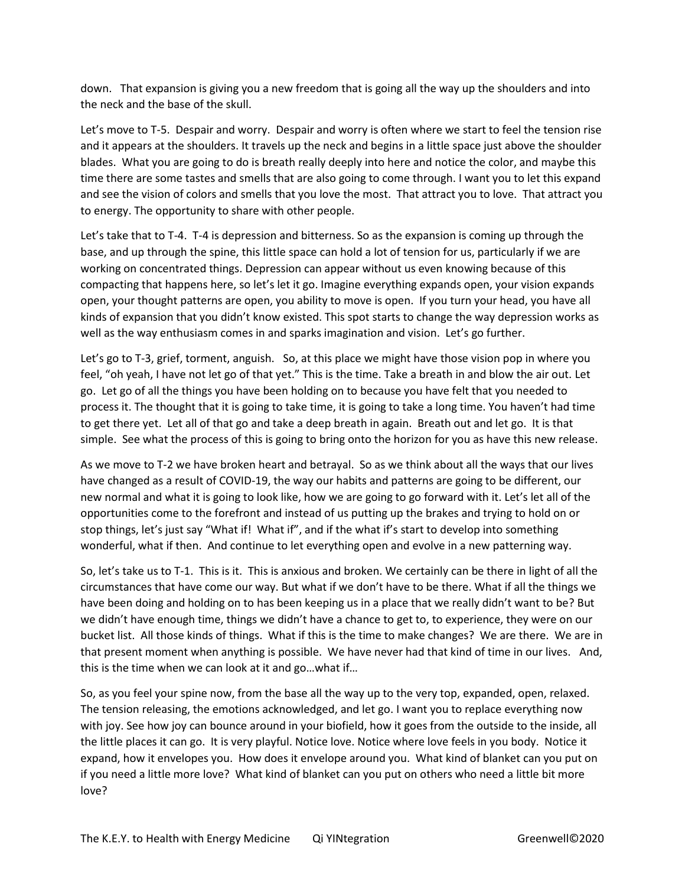down. That expansion is giving you a new freedom that is going all the way up the shoulders and into the neck and the base of the skull.

Let's move to T-5. Despair and worry. Despair and worry is often where we start to feel the tension rise and it appears at the shoulders. It travels up the neck and begins in a little space just above the shoulder blades. What you are going to do is breath really deeply into here and notice the color, and maybe this time there are some tastes and smells that are also going to come through. I want you to let this expand and see the vision of colors and smells that you love the most. That attract you to love. That attract you to energy. The opportunity to share with other people.

Let's take that to T-4. T-4 is depression and bitterness. So as the expansion is coming up through the base, and up through the spine, this little space can hold a lot of tension for us, particularly if we are working on concentrated things. Depression can appear without us even knowing because of this compacting that happens here, so let's let it go. Imagine everything expands open, your vision expands open, your thought patterns are open, you ability to move is open. If you turn your head, you have all kinds of expansion that you didn't know existed. This spot starts to change the way depression works as well as the way enthusiasm comes in and sparks imagination and vision. Let's go further.

Let's go to T-3, grief, torment, anguish. So, at this place we might have those vision pop in where you feel, "oh yeah, I have not let go of that yet." This is the time. Take a breath in and blow the air out. Let go. Let go of all the things you have been holding on to because you have felt that you needed to process it. The thought that it is going to take time, it is going to take a long time. You haven't had time to get there yet. Let all of that go and take a deep breath in again. Breath out and let go. It is that simple. See what the process of this is going to bring onto the horizon for you as have this new release.

As we move to T-2 we have broken heart and betrayal. So as we think about all the ways that our lives have changed as a result of COVID-19, the way our habits and patterns are going to be different, our new normal and what it is going to look like, how we are going to go forward with it. Let's let all of the opportunities come to the forefront and instead of us putting up the brakes and trying to hold on or stop things, let's just say "What if! What if", and if the what if's start to develop into something wonderful, what if then. And continue to let everything open and evolve in a new patterning way.

So, let's take us to T-1. This is it. This is anxious and broken. We certainly can be there in light of all the circumstances that have come our way. But what if we don't have to be there. What if all the things we have been doing and holding on to has been keeping us in a place that we really didn't want to be? But we didn't have enough time, things we didn't have a chance to get to, to experience, they were on our bucket list. All those kinds of things. What if this is the time to make changes? We are there. We are in that present moment when anything is possible. We have never had that kind of time in our lives. And, this is the time when we can look at it and go…what if…

So, as you feel your spine now, from the base all the way up to the very top, expanded, open, relaxed. The tension releasing, the emotions acknowledged, and let go. I want you to replace everything now with joy. See how joy can bounce around in your biofield, how it goes from the outside to the inside, all the little places it can go. It is very playful. Notice love. Notice where love feels in you body. Notice it expand, how it envelopes you. How does it envelope around you. What kind of blanket can you put on if you need a little more love? What kind of blanket can you put on others who need a little bit more love?